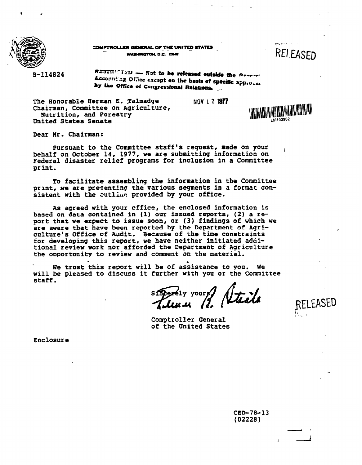

COMPTROLLER GENERAL OF THE UNITED STATES WASHINGTON, D.C. 20646

**Contact Street** RELEASED

B-114824

RESTRICTED - Not to be released outside the Company Accounting Office except on the basis of specific approval by the Office of Congressional Relations.

The Banorable Herman E. Talmadge **NOV 1 7 1977**  Chairman, Committee on Agriculture, Nutrition, and Forestry **United** States Senate



RELEASED

Dear Hr. Chairman:

Pursuant to the Committee staff's request, made on your behalf on October 14, 1977, we are submitting information on **Federal disaster** relief programs for inclusion in a Committee ' print.

To facilitate assembling the information in the Committee print, we are presenting the various segments in a format consistent with the cutling provided by your office.

**As agreed** with your cffice, the enclosed information is based on data contained in (1) our issued reports, (2) a report that **we** expect to issue soon, or (3) findings of which **we are** aware that have been reported by the Department of Agri- culture's Office of Audit. Because of the time constraints for developing this report, we have neither initiated aduitional **review** work nor afforded the Department of Agriculture the opportunity to review and comment on the material.

We trust this report will be of assistance to you. We will be **pleased** to discuss it further with you or the Committee staff.

sincerely yours? Steels

Comptroller General of the United States

Enclosure

 $CED-78-13$  $(02228)$ 

Ť.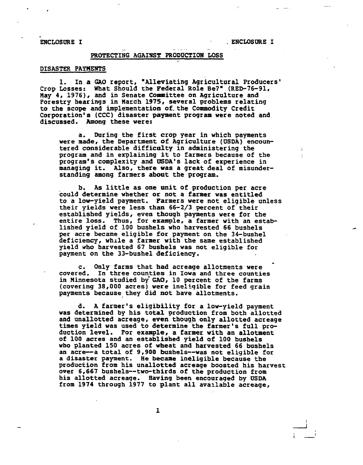ENCLOSURE I

**ENCLOSURE I** 

# PROTECTING AGAISST **PRODUCTION** LOSS

# **DISASTER PAPnENTS**

**1.** In a **GAO** report, "Alleviating Agricultural Producers' Crop Losses: What Should **the** Federal Role **Be?"** (RED-76-91, May 4, 1976), and in Senate Committee on Agriculture and Forestry hearings in March 1375, several problems relating to the scope and implementation **of-** the Commodity Credit Corporation's **(CCC)** disaster payment program were noted and discussed. Among these were:

**a.** During the first crop year in which payments were made, the Department of Agriculture (USDA) encountered considerable difficulty in administering the program and in explaining it to farmers because of the program's complexity **and USDA's** lack of experience in managing it, Also, there **was** a great deal of misunderstanding among farmers **about** the program,

b. **As** little **as** one unit of production per acre could determine whether or not a farmer **was** entitled to a low-yield payment. Farmers were not eligible unless their yields were less **than** 66-2/3 percent of their established yields, even though payments were for the entire loss, Thus, for example, a farmer with an established yield of 100 bushels who harvested 66 bushels per acre became eligible for payment on **the** 34-bushel deficiency, while a farmer with the same established yield who harvested 67 bushels was not eligible for

c. Only farms that had acreage allotments were covered. In three counties in Iowa and three counties in Minnesota studied by GAO, 10 percent of the farms (covering 38,000 acres) were ineliqible for feed grain payments because they did not have allotments.

**d.** A farmer's eligibility for a low-yield payment was determined by his total production from both allotted **and** unallotted acreage, **even** though only allotted acreage times yield was used to determine the farmer's full production level. For example, a farmer with **an** allotment of 100 acres and an established yield of 100 bushels who planted 150 acres of **wheat** and harvested 66 bushels an acre--a total of 9,900 bushels--was not eligible for a disaster payment. He became ineligible because the production from **his** unallotted acreage boosted his harvest over 6,667 bushels-two-thirds of the production from his allotted acreage. Having been encouraged by **USDA**  from 1974 through 1977 to plant all available acreage,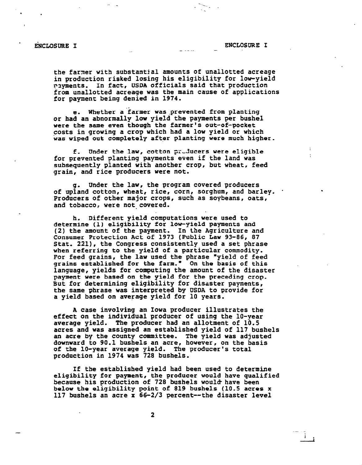$\mathbf{1}$ 

the farner with substantial amounts of unallotted acreage in production risked losing his eligibility for low-yield rayments. In fact, USDA officials said that production from unallotted acreage **was** the main cause of applications for payment being denied in 1974,

e. Whether a farmer was prevented from planting or had an abnormally low yield the payments per bushel were the same even though the farmer's out-of-pocket costs in growing a crop which had a low yield or which was wiped out completely after planting were much higher.

**f.** Under the law, cotton gzJucers **were** eligible for prevented planting payments even if the land was subsequently planted with another crop, but wheat, feed gzain, and rice producers were not.

g. Under the law, the program covered producers of upland cotton, wheat, rice, corn, sorghum, and barley. Producers of other major crops, such as soybeans, oats, and tobacco, **were** not- covered.

h. Different yield computations were used to **determine (1) eligibility for law-yield payments** and (2) the amount of the payment. In the Agriculture and Consumer Protection Act of 1973 (Public Law 93-86, 87 Stat. 221), the Congress consistently used a set phrase when referring to **the** yield of a particular commodity. For feed grains, the **law** used the phrase "yield of feed grains established for the farm," On the basis of this language, yields for computing the amount of the disaster payment were based on the yield for the preceding crop. But for determining eligibility for disaster payments, the same phrase **was** interpreted by USDA to provide for a yield based on average yield for 10 years.

**<sup>A</sup>**case involving an Iowa producer illustrates the effect on the individual producer of using the 10-year average yield, The producer had an allotment of 10.5 **acres** and was assigned an established yield of 117 bushels an acre by the county committee. The yield was adjusted downward to 90.1 bushels an acre, hovever, on the basis of the lo-year average yield. The producer's total production in 1974 was 728 bushels.

If the established yield had been used to determine eligibility for payment, the producer would have qualified because his production of 728 bushels would have been belov the eligibility point of 819 bushels (10.5 **acres <sup>x</sup>** 117 bushels an acre **x** 66-2/3 percent-the disaster level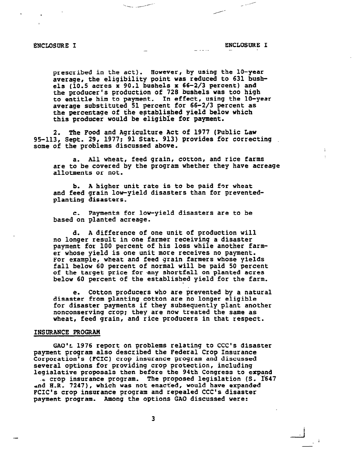prescribed in the act). However, by using the 10-year average? the eligibility point **was** reduced to 631 **bush**els (10.5 acres x 90.1 bushels **x 66-2/3** percent) and the producer's production of 728 bushels was too high to entitle him to payment. In effect, using the lo-year average substituted 51 percent for 66-2/3 percent as the percentage of the established yield below which this producer would be eligible for **payment.** 

2. The Food and Agriculture Act of 1977 (Public Law 95-113, Sept. 29, 1977; 91 Stat. 913) provides for correcting some of the problems discussed above.

a. **All** wheat, feed grain, cotton, and rice farms are to be covered by the program whether they have acreage allotments or not.

b. **A** higher unit rate is to be paid for wheat and feed grain low-yield disasters than for preventedplanting disasters.

**c.** Payments for low-yield disasters are to be **based** on planted acreage.

**d. A** difference of one unit of production will no longer result in one farmer receiving a disaster payment for 100 percent of his loss while another farmer whose yield is one unit more receives no payment. For example, wheat and feed grain farmers whose yields fall below 60 percent of normal will be paid 50 percent of the target price for any shortfall on planted acres below 60 percent of the established yield for the farm.

**e.** Cotton producers who are prevented by a natural disaster **from** planting cotton are no longer eligible for disaster payments if they subsequently plant another nonconserving crop; they are now treated the same as wheat, feed grain, and rice producers in that respect.

### **INSURANCE PROGRAn**

GAO'<sub>2</sub> 1976 report on problems relating to CCC's disaster payment program also described the Federal Crop Insurance Corporation's **(PCIC)** crop insurance program and discussed several options for providing crop protection, including legislative proposals then before the 94th Congress to expand

**.c** crop insurance program. The proposed legislation (S. **I347**  and H.R. 7247), which was not enacted, would have expanded FCIC's crop insurance program and repealed CCC's disaster **payment** program. Among the options GAO discussed were: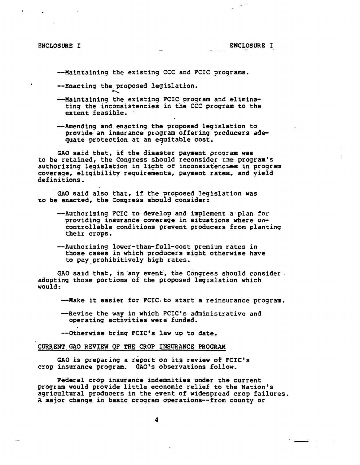--Maintaining the existing CCC and FCIC programs.

--Enacting the proposed legislation. **A,** 

- --Maintaining the existing FCIC program and eliminating the inconsistencies in the CCC program to the extent feasible.
- --Amending and enacting the proposed legislation to provide an insurance program offering producers adequate protection at an equitable cost.

GAO said that, if the disaster payment program was to be retained, the Congress should reconsider the program's authorizing legislation in light of inconsistencies in program coverage, eligibility requirements, payment rates, and yield definitions .

GAO said also that, if the proposed legislation was to be enacted, the Congress should consider:

- --Authorizing FCIC to develop and implement a plan for providing insurance coverage in situations where uncontrollable conditions prevent producers from planting their crops.
- --Authorizing lower-than-full-cost premium rates in those cases in which producers might otherwise have to pay prohibitively high rates.

GAO said that, in any event, the Congress should consider. adopting those portions of the proposed legislation which would:

--Make it easier for FCIC to start a reinsurance program.

--Revise the way in which FCIC's administrative and operating activities were funded.

--Otherwise bring FCIC's law up to date.

### **CURRENT** GAO **REVIEW** OF THE **CROP** INSDRANCE **PROGRAM**

GAO is preparing a report on its review of FCIC's crop insurance program. GAO's observations follow.

Federal crop insurance indemnities under the current program would provide little economic relief to the Nation's agricultural producers in the event of widespread crop failures. A major change in basic program operations--from county or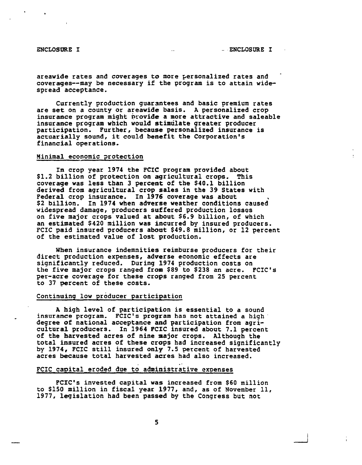areawide rates and coverages to more personalized rates and coverages--may be necessary if the program is to attain widespread acceptance.

Currently production guarmtees and basic premium rates are set on a county or areawide basis. A personalized crop insurance program might provide a more attractive and saleable insurance program which would stimulate greater producer participation. Further, because personalized insurance is actuarially sound, it could benefit the Corporation's financial operations,

#### Minimal economic potection

In crop year 1974 the FCIC program provided about<br>\$1.2 billion of protection on agricultural crops. This cover age was less than 3 percent of the \$40.1 billion derived from agricultural crop sales in the 39 States with Federal crop insurance. In 1976 coverage was about<br>\$2 billion. In 1974 when ad<mark>verse weat</mark>her conditions caused In crop year 1974 the FCIC program provided about \$2 billion. In 1974 when adverse weather conditions caused widespread damage, producers suffered production lossqs on five major crops valued at about \$6.9 billion, of which an estimated \$420 million was incurred by insured producers. FCIC paid insured producers **about** \$49.8 million, or 12 percent of the estimated value of lost production.

When insurance indemnities reimburse producers for their direct production expenses, adverse economic effects are significantly reduced. During 1974 production costs on the five major crops ranged from \$89 to \$238 an acre. FCIC's per-acre coverage for these crops ranged from 25 percent to 37 percent of these costs.

# Continuing low producer participation

**<sup>A</sup>**high level of participation is essential to a sound insurance program. **FCIC's program** has not attained a high' degree of national acceptance and participation from agri-<br>cultural producers. In 1964 FCIC insured about 7.1 percent of the harvested acres of nine major crops. Although the total insured acres of these crops had increased significantly by 1974, FCIC still insured **only** 7.5 percent of harvested acres because total harvested acres had also increased.

## FCIC capital eroded due to administrative expenses

FCIC's invested capital was increased from \$60 million to \$150 million in fiscal year 1977, and, as of November 11, 1977, legislation had been passed by the Congress but not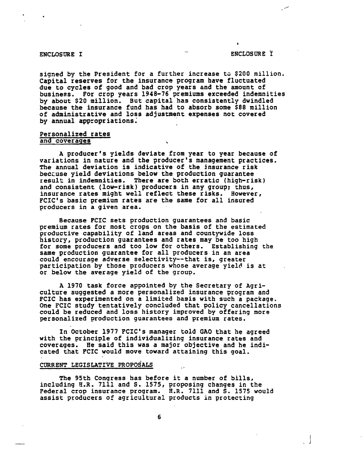signed by the President for a further increase to \$200 million. Capital reserves for the insurance program have fluctuated due to cycles of good and bad crop years and the amount of business. For crop years 1948-76 premiums exceeded indemnities by about \$20 million. But capital has consistently dwindled because the insurance fund has had to absorb some \$88 million of administrative and loss adjustment expenses not covered by annual appropriations;

# Personalized rates and coverages

**A** producer's yields deviate from year to year because of variations in nature and the producer's management practices. **The** annual deviation is indicative of the insurance risk beccuse yield deviations below the production guarantee result in indemnities. There are both erratic (high-risk) and consistent (low-risk) producers in any group; thus, insurance rates might well reflect these risks. However, **FCIC's** basic premium rates are the same for all insured producers in a given area.

Because **FCIC** sets production guarantees and basic premium rates for most crops on the basis of the estimated productive capability of land areas and countywide loss history, production guarantees and rates may be too high for some producers and too low for others. Establishing **the**  same production guarantee for all producers in an area<br>could encourage adverse selectivity--that is, greater participation by those producers whose average yield is at or below the average yield of the group.

**A** 1970 task force appointed by the Secretary of Agriculture suggested a more personalized insurance program and **FCIC** has experimented **on** a limited basis with such a package. **One FCIC** study tentatively concluded that policy cancellations could be reduced and loss history improved by offering more personalized production guarantees and premium rates.

In October 1977 **FCIC's** manager told GAO that he agreed with the principle of individualizing insurance rates and coversges. He said this was a major objective and he indicated that **FCIC** would move toward attaining this goal.

# CURRENT LEGISLATIVE PROPOSALS

The 95th Congress has before it a number of bills, including E.R. 7111 and S. 1575, proposing changes in the Federal crop insurance program. **H.R.** 7111 and S. 1575 would assist producers of agricultural products in protecting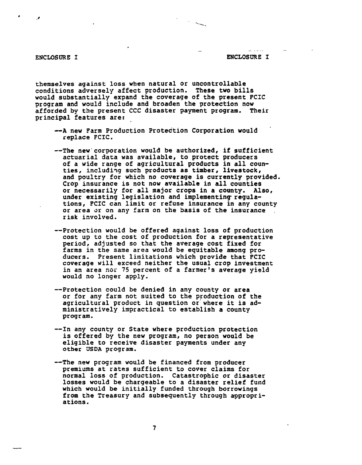themselves against loss when natural or uncontrollable conditions adversely affect production, These two bills would substantially expand the coverage of the present FCIC program and would include and broaden the protection now afforded by the present CCC disaster payment program. principal features are:

- **--A** new Farm Production Protection Corporation would replace FCIC.
- --The new'corporation would be authorized, if sufficient actuarial data was available, to protect producers of a wide range of agricultural products in all counties, includiqg such products **as** timber, **livestock,**  and poultry for which no coverage is currently provided. Crop insurance is not now available in all counties<br>or necessarily for all major crops in a county. Also, under existing legislation and implementing regula-<br>tions, FCIC can limit or refuse insurance in any county or area or on any farm on the basis of the insurance r isk involved,
- --Protection would be offered against loss of production cost up to the cost of production for a representative period, adjusted so that the average cost fixed for farms in the same area would be equitable among producers. Present limitations which provide that FCIC coverage will exceed neither the usual crop investment in an area **nsr** 75 percent of a farmer's average yield would no longer apply.
- --Protection could be denied in any county or area or for any farm not suited to the production of the agricultural product in question or where it is administratively impractical to establish a county program.
- --In any county or State where production protection is offered by the new program, no person would be eligible to receive disaster payments under any other **USDA program.**
- --The new program would be financed from producer premiums at rates sufficient to cover claims for normal loss of production. Catastrophic or disaster losses would be chargeable to a disaster relief fund which would be initially funded through borrowings from the Treasury and subsequently through agpropri-a tions .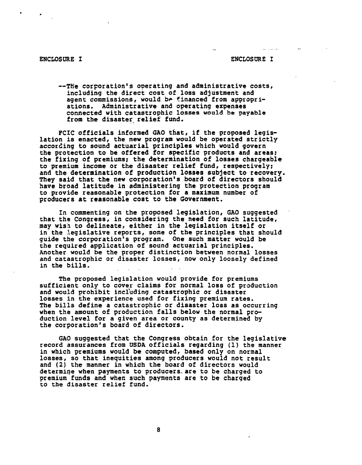- - .- .- --

--The corporation's operating and administrative costs, including the direct cost of loss adjustment and<br>agent commissions, would be financed from appropriations. Administrative and operating expenses<br>connected with catastrophic losses would be payable from the disaster relief fund.

PCIC officials informed GAO that, if the proposed legis-<br>lation is enacted, the new program would be operated strictly<br>according to sound actuarial principles which would govern<br>the protection to be offered for specific pr the fixing of premiums; the determination of losses chargeable<br>to premium income or the disaster relief fund, respectively: and the determination of production losses subject to recovery.<br>They said that the new corporation's board of directors should have broad latitude in administering the protection program to provide reasonable protection for a maximum number of producers at reasonable cost to the Government.

In commenting on the proposed legislation, GAO suggested **that** the Congress, in considering the need for such latitude, may wis'n to delineate, either in the legislation itself or in the legislative reports, some of the principles that should guide the corporation's program. One such matter would be the required application of sound actuarial principles. Another would be the proper distinction between normal losses Another would be the proper distinction between normal losses<br>and catastrophic or disaster losses, now only loosely defined in the bills.

The proposed legislation would provide for premiums sufficient only to cover claims for normal loss of production and would prohibit incl'uding catastrophic or disaster losses in the experience used for fixing premium rates. The bills define a catastrophic or disaster loss as occurring<br>when the amount of production falls below the normal production level for a given area or county as determined by the corporation's board of directors.

GAO suggested that the Congress obtain for the legislative record assurances from **USDA** officials regarding (1) the manner in which premiums would be computed, based only on normal losses, so that inequities among producers would not result and (2) the manner in which the board of directors would determine when payments to producers.are to be charged to premium funds and whec such payments are to be charged to **the** disaster relief fund.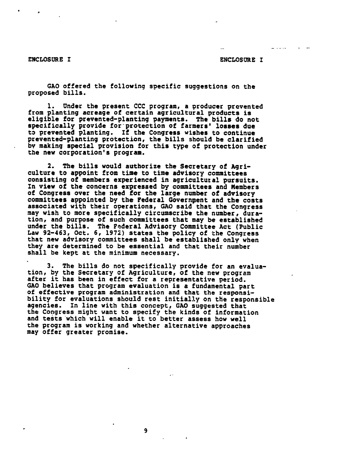- -- --

GAO offered the following specific suggestions on the proposed bills.

1. Under the present CCC program, a producer prevented from planting acreage of certain agricultural products is eligible for prevented-planting payments. The bills do not specifically provide for'protection of farmers' losses due to prevented planting. If the Congress wishes to continue prevented-planting protection, the bills should be clarified by making special provision for this type of protection under the new corporation's program.

2. The bills would authorize the Secretary of Agri-<br>culture to appoint from time to time advisory committees<br>consisting of members experienced in agricultural pursuits. In view of the concerns expressed by committees and Members<br>of Congress over the need for the large number of advisory committees appointed by the Pederal Government and the costs associated with their operations, **GAO** said that the Congress may wish to more specifically circumscribe the number, duration, and purpose of such committees that may be established under the bills. The Federal Advisory Committee Act (Public Law 92-463, Oct. 6, 1972) states the policy of the Congress<br>that new advisory committees shall be established only when that new advisory committees shall be established only when<br>they are determined to be essential and that their number shall be kept at the minimum necessary.

3. The bills do not specifically provide for an evaluation, by the Secretary of Agriculture, of the new program<br>after it has been in effect for a representative period.<br>GAO believes that program evaluation is a fundamental part of effective program administration and that the responsi-<br>bility for evaluations should rest initially on the responsible<br>agencies. In line with this concept, GAO suggested that the Congress might want to specify the kinds of information and tests 'which will enable it to better assess how well the program is working and whether alternative approaches may offer greater promise.

9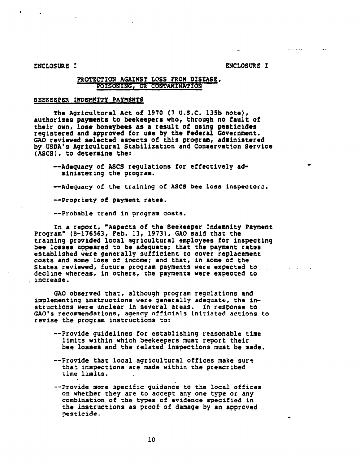# **PROTECTION** AGAINST LOSS **PROM** DISEASE, **POISONING, OR CONTAMINATION**

## **BEEKEEPER INDEHIITY PAYMENTS**

The Aqricultural **Act** of 1970 **(7** U.S.C. 135b note), authorizes payments to beekeepers who, through no fault **of**  registered and approved for use by the Federal Government. **GAO** reviewed selected aspects of this program, administered by USDA's Agricultural Stabilization and Conservation Service (ASCS), to determine the:

--Adequacy of ASCS regulations for effectively administering **the prograra.** 

--Adequacy of the training of **ASCS** bee loss fnspector3.

--Propriety of payment rates.

--Probable trend in program costs.

In a report, "Aspects of the Beekeeper Indemnity Payment<br>Program" (8-176563, Peb. 13, 1973), GAO said that the<br>training provided local agricultural employees for inspecting bee losses appeared to be adequate; that the payment rates established ware generally sufficient to cover raplacement costs and some loss of income; and that, in some of the States reviewed, future program payments were expected to. . decline whereas, in others, the payments were expected to , increase.

**GAO** observed that, although program regulations and implementing instructions were generally adequate, the instructions **were** unclear in several areas. In response to **GAO's** recommendations, agency officials initiated actions to revise the program instructions to:

- --Provide guidelines for establishing reasonable time limits within which beekeepers must report their bee losses and **the** related inspections must be made.
- --Frovide that local agricultural offices **make** sur? tha: inspections are made within the prescribed time limits,
- --Provide **more specific** guidance to the local offices combination of the types of evidence specified in the instructions **as** proof of damage by an approved pesticide.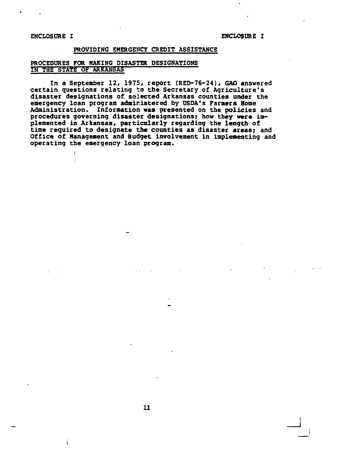$\mathbf{I}$  $\frac{1}{2}$ 

ì.

# PROVIDING **EMERGENCY** CREDIT **ASSISTANCE**

# **PROCEDURES FOR MAKING DISASTER DESIGNATIONS IN THE STATE OF ARKANSAS**

In a September 12, 1975, report (RED-76-24), GAO answered<br>certain questions relating to the Secretary of Agriculture's disaster designations of selected Arkansas counties under the emergency loan program admicistered by **USDA's** Farmers **Borne**  Administration. Information **was** presented on the **policies** and procedures governing disaster designations; **how they were** implemented in Arkansas, particularly regarding the length of time required to designate **the** counties **as** disaster areas; and Office of Management and **Budget** involvement in implementing and operating **the** emergency loan program.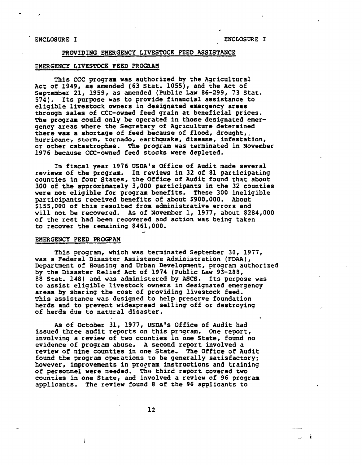# - **PROVIDING** EMERGENCY LIVESTOCK **PEED** ASSISTANCE

# EMERGENCY LIVESTOCK FEED PROGRAM

This CCC program was authorized by the Agricultural Act of 1949, as amended (63 Stat. 1055), and the Act of September 21, 1959, as amended (Public Law 86-299, 73 Stat. 574). Its purpose was to provide financial assistance to eligible livestock owners in designated emergency areas through sales of CCC-owned' feed grain at beneficial prices. The program could only be operated in those designated emergency areas where the Secretary **af** Agriculture determined there **was** a shortage of feed because of flood, drought,. **hurricane-, storm, tornado, earthquake,** disease, infestation, or other catastrophes. The program was terminated in November 1976 because CCC-owned feed stocks were depleted.

In fiscal year 1976 USDA's Office of Audit made several reviews of **the** program. In **reviews** in 32 of 81 participating counties in four States, the Office of Audit found that about 300 of **the** approximately 3,000 participants in the 32 counties were not eligible for program benefits, These 300 ineligible participants received benefits of about \$900,000. About \$155,000 of this resulted from administrative errors and will not be recovered. As of November 1, 1977, about \$284,000 of the rest had been recovered and action was being taken to recover the remaining \$461,000.

#### EMERGENCY FEED **PROGFAM**

ĵ.

This program, which was terminated September 30, 1977, was a Federal Disaster Assistance Administration (FDAA), Department of Housing and Urban Development, program authorized by the Disaster Relief Act of 1974 (Public Law 93-288, 88 Stat. 148) and was administered by ASCS. Its purpose was to assist eligible livestock owners in designated emergency areas by sharing the cost of providing livestock feed. This assistance was designed to help preserve foundation herds and to prevent widespread selling off or destroying of herds due to natural disaster.

As of October 31, 1977, USDA's Office of Audit had issued three audit reports on this program. One report, involving a review of two counties in one State, found no evidence of program abuse, **A** second report involved a review of nine counties in one State, The Office of Audit found the program opezations to be generally satisfactory; however, improvements in proqram instructions and training of personnel were needed. The third report cowered two counties in one State, and iavolved a review of 96 program applicants. The review found 8 of the 96 applicants to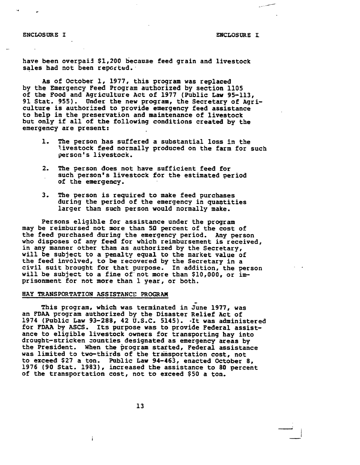#### **ENCLOSURE I**

ENCLOSURE I

have been overpai3 \$1,200 because feed grain and livestock sales had not been reported.

As of October 1, 1977, this program was replaced by **the** Emergency Feed Program authorized by section 1105 of the Food and Agriculture Act of 1977 (Public **Law** 95-113, 91 Stat, 955). Under **the** new program, the Secretary of Agriculture is authorized to provide emergency feed assistance to help in the preservation and maintenance of livestock but only if all of the following conditions created by the emergency are present:

- 1. The person has suffered a substantial loss in the livestock feed normally produced on the farm for such person's lipestock.
- 2. The person does not have sufficient feed for such person's livestock for the estimated period of the emergency.
- 3. The person is required to make feed purchases during the period of the emergency in quagtities larger than such per son **would** normally make.

Persons eligible for assistance under the program may be reimbursed not more than 50 percent of the cost of the feed purchased during the emergency period. Any person who disposes of any feed for which reimbursement is received, in **any** manner other than as authorized by the Secretary, will be subject to a penalty equal to the market value of the feed involved, to be recovered by the Secretary in a civil suit brought for that purpose. In addition, the person will be subject to a fine of not more than \$10,000, or imprisonment for not more than 1 year, or both.

#### **BAY TRANSPORTATION ASSISTANCE PROGRAM**

- This program, which was terminated in June 1977, was an FDAA program authorized by the Disaster Relief Act of 1974 (Public Law 93-288, 42 U.S.C. 5145). -It was administered for FDAA **by** ASCS. Its purpose **was** to provide Federal assistance to eligible livestock owners for transporting hay into drought-stricken zounties designated as emergency areas **by**  the President. When the program stafted, Federal assistance was limited to two-thirds of the transportation cost, not to exceed \$27 a ton, Public **Law** 94-463, enacted October 8, 1976 (90 Stat, 1983), increased the assistance to 80 percent of the transportation cost, not to exceed \$50 a ton.

ì